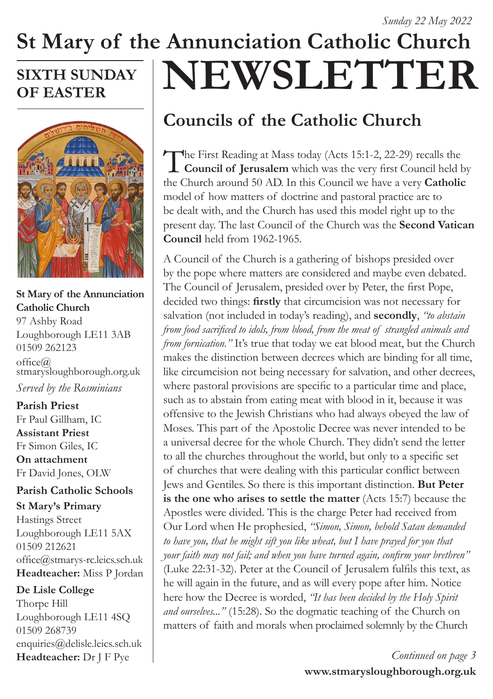## **St Mary of the Annunciation Catholic Church NEWSLETTER SIXTH SUNDAY**

# **OF EASTER**



### **St Mary of the Annunciation Catholic Church**

97 Ashby Road Loughborough LE11 3AB 01509 262123  $offce@$ stmarysloughborough.org.uk *Served by the Rosminians*

**Parish Priest**  Fr Paul Gillham, IC **Assistant Priest**  Fr Simon Giles, IC **On attachment**  Fr David Jones, OLW

### **Parish Catholic Schools**

**St Mary's Primary** Hastings Street Loughborough LE11 5AX 01509 212621 office@stmarys-rc.leics.sch.uk **Headteacher:** Miss P Jordan

### **De Lisle College**

Thorpe Hill Loughborough LE11 4SQ 01509 268739 enquiries@delisle.leics.sch.uk **Headteacher:** Dr J F Pye

# **Councils of the Catholic Church**

The First Reading at Mass today (Acts 15:1-2, 22-29) recalls the<br> **Council of Jerusalem** which was the very first Council held by the Church around 50 AD. In this Council we have a very **Catholic** model of how matters of doctrine and pastoral practice are to be dealt with, and the Church has used this model right up to the present day. The last Council of the Church was the **Second Vatican Council** held from 1962-1965.

A Council of the Church is a gathering of bishops presided over by the pope where matters are considered and maybe even debated. The Council of Jerusalem, presided over by Peter, the first Pope, decided two things: **firstly** that circumcision was not necessary for salvation (not included in today's reading), and **secondly**, *"to abstain from food sacrificed to idols, from blood, from the meat of strangled animals and from fornication.*" It's true that today we eat blood meat, but the Church makes the distinction between decrees which are binding for all time, like circumcision not being necessary for salvation, and other decrees, where pastoral provisions are specific to a particular time and place, such as to abstain from eating meat with blood in it, because it was offensive to the Jewish Christians who had always obeyed the law of Moses. This part of the Apostolic Decree was never intended to be a universal decree for the whole Church. They didn't send the letter to all the churches throughout the world, but only to a specific set of churches that were dealing with this particular conflict between Jews and Gentiles. So there is this important distinction. **But Peter is the one who arises to settle the matter** (Acts 15:7) because the Apostles were divided. This is the charge Peter had received from Our Lord when He prophesied, *"Simon, Simon, behold Satan demanded to have you, that he might sift you like wheat, but I have prayed for you that your faith may not fail; and when you have turned again, confirm your brethren"*  (Luke 22:31-32). Peter at the Council of Jerusalem fulfils this text, as he will again in the future, and as will every pope after him. Notice here how the Decree is worded, *"It has been decided by the Holy Spirit and ourselves..."* (15:28). So the dogmatic teaching of the Church on matters of faith and morals when proclaimed solemnly by the Church

> **www.stmarysloughborough.org.uk** *Continued on page 3*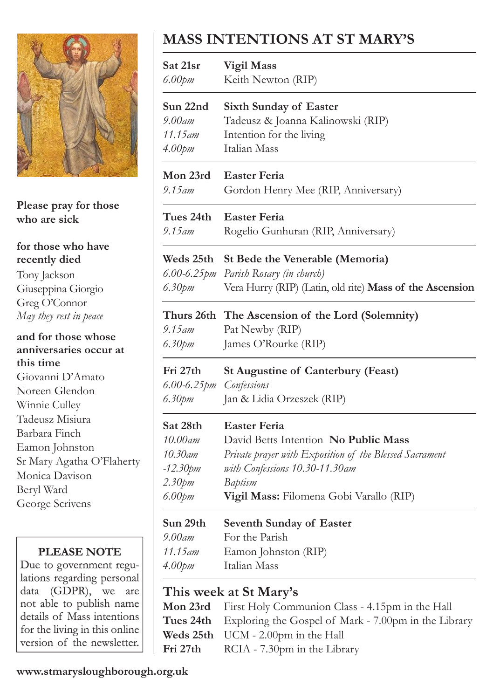

**Please pray for those who are sick**

**for those who have recently died** Tony Jackson Giuseppina Giorgio Greg O'Connor *May they rest in peace*

**and for those whose anniversaries occur at this time** Giovanni D'Amato Noreen Glendon Winnie Culley Tadeusz Misiura Barbara Finch Eamon Johnston Sr Mary Agatha O'Flaherty Monica Davison Beryl Ward George Scrivens

### **PLEASE NOTE**

Due to government regulations regarding personal data (GDPR), we are not able to publish name details of Mass intentions for the living in this online version of the newsletter.

### **MASS INTENTIONS AT ST MARY'S**

| Sat 21sr                                      | Vigil Mass                                                                                  |
|-----------------------------------------------|---------------------------------------------------------------------------------------------|
| $6.00$ pm                                     | Keith Newton (RIP)                                                                          |
| Sun 22nd                                      | <b>Sixth Sunday of Easter</b>                                                               |
| 9.00am                                        | Tadeusz & Joanna Kalinowski (RIP)                                                           |
| $11.15$ <sub>am</sub>                         | Intention for the living                                                                    |
| $4.00$ pm                                     | Italian Mass                                                                                |
| Mon 23rd                                      | <b>Easter Feria</b>                                                                         |
| $9.15$ am                                     | Gordon Henry Mee (RIP, Anniversary)                                                         |
| Tues 24th                                     | <b>Easter Feria</b>                                                                         |
| $9.15$ am                                     | Rogelio Gunhuran (RIP, Anniversary)                                                         |
| Weds 25th                                     | St Bede the Venerable (Memoria)                                                             |
| $6.00$ -6.25pm                                | Parish Rosary (in church)                                                                   |
| 6.30pm                                        | Vera Hurry (RIP) (Latin, old rite) Mass of the Ascension                                    |
| 9.15 am<br>6.30pm                             | Thurs 26th The Ascension of the Lord (Solemnity)<br>Pat Newby (RIP)<br>James O'Rourke (RIP) |
| Fri 27th<br>6.00-6.25pm Confessions<br>6.30pm | <b>St Augustine of Canterbury (Feast)</b><br>Jan & Lidia Orzeszek (RIP)                     |
| Sat 28th                                      | <b>Easter Feria</b>                                                                         |
| $10.00$ am                                    | David Betts Intention No Public Mass                                                        |
| 10.30am                                       | Private prayer with Exposition of the Blessed Sacrament                                     |
| $-12.30$ pm                                   | with Confessions 10.30-11.30am                                                              |
| 2.30pm                                        | Baptism                                                                                     |
| $6.00$ pm                                     | Vigil Mass: Filomena Gobi Varallo (RIP)                                                     |
| Sun 29th                                      | Seventh Sunday of Easter                                                                    |
| $9.00$ am                                     | For the Parish                                                                              |
| $11.15$ am                                    | Eamon Johnston (RIP)                                                                        |
| 4.00 <sub>pm</sub>                            | Italian Mass                                                                                |

### **This week at St Mary's**

| <b>Mon 23rd</b> First Holy Communion Class - 4.15pm in the Hall |
|-----------------------------------------------------------------|
| Tues 24th Exploring the Gospel of Mark - 7.00pm in the Library  |
| <b>Weds 25th</b> $UCM - 2.00pm$ in the Hall                     |
| <b>Fri 27th</b> RCIA - 7.30pm in the Library                    |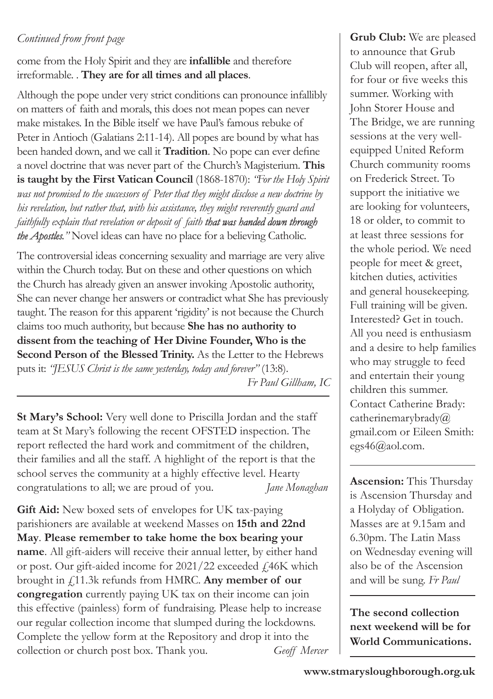### *Continued from front page*

come from the Holy Spirit and they are **infallible** and therefore irreformable. . **They are for all times and all places**.

Although the pope under very strict conditions can pronounce infallibly on matters of faith and morals, this does not mean popes can never make mistakes. In the Bible itself we have Paul's famous rebuke of Peter in Antioch (Galatians 2:11-14). All popes are bound by what has been handed down, and we call it **Tradition**. No pope can ever define a novel doctrine that was never part of the Church's Magisterium. **This is taught by the First Vatican Council** (1868-1870): *"For the Holy Spirit was not promised to the successors of Peter that they might disclose a new doctrine by his revelation, but rather that, with his assistance, they might reverently guard and faithfully explain that revelation or deposit of faith that was handed down through the Apostles."* Novel ideas can have no place for a believing Catholic.

The controversial ideas concerning sexuality and marriage are very alive within the Church today. But on these and other questions on which the Church has already given an answer invoking Apostolic authority, She can never change her answers or contradict what She has previously taught. The reason for this apparent 'rigidity' is not because the Church claims too much authority, but because **She has no authority to dissent from the teaching of Her Divine Founder, Who is the Second Person of the Blessed Trinity.** As the Letter to the Hebrews puts it: *"JESUS Christ is the same yesterday, today and forever"* (13:8). *Fr Paul Gillham, IC*

**St Mary's School:** Very well done to Priscilla Jordan and the staff team at St Mary's following the recent OFSTED inspection. The report reflected the hard work and commitment of the children, their families and all the staff. A highlight of the report is that the school serves the community at a highly effective level. Hearty congratulations to all; we are proud of you. *Jane Monaghan*

**Gift Aid:** New boxed sets of envelopes for UK tax-paying parishioners are available at weekend Masses on **15th and 22nd May**. **Please remember to take home the box bearing your name**. All gift-aiders will receive their annual letter, by either hand or post. Our gift-aided income for 2021/22 exceeded £46K which brought in £11.3k refunds from HMRC. **Any member of our congregation** currently paying UK tax on their income can join this effective (painless) form of fundraising. Please help to increase our regular collection income that slumped during the lockdowns. Complete the yellow form at the Repository and drop it into the collection or church post box. Thank you. *Geoff Mercer*

**Grub Club:** We are pleased to announce that Grub Club will reopen, after all, for four or five weeks this summer. Working with John Storer House and The Bridge, we are running sessions at the very wellequipped United Reform Church community rooms on Frederick Street. To support the initiative we are looking for volunteers, 18 or older, to commit to at least three sessions for the whole period. We need people for meet & greet, kitchen duties, activities and general housekeeping. Full training will be given. Interested? Get in touch. All you need is enthusiasm and a desire to help families who may struggle to feed and entertain their young children this summer. Contact Catherine Brady: catherinemarybrady@ gmail.com or Eileen Smith: egs46@aol.com.

**Ascension:** This Thursday is Ascension Thursday and a Holyday of Obligation. Masses are at 9.15am and 6.30pm. The Latin Mass on Wednesday evening will also be of the Ascension and will be sung. *Fr Paul*

**The second collection next weekend will be for World Communications.**